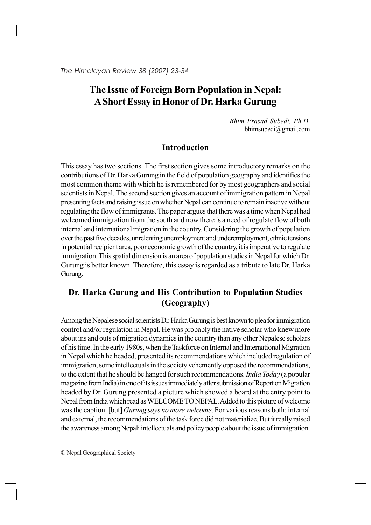# **The Issue of Foreign Born Population in Nepal: A Short Essay in Honor of Dr. Harka Gurung**

*Bhim Prasad Subedi, Ph.D.* bhimsubedi@gmail.com

## **Introduction**

This essay has two sections. The first section gives some introductory remarks on the contributions of Dr. Harka Gurung in the field of population geography and identifies the most common theme with which he is remembered for by most geographers and social scientists in Nepal. The second section gives an account of immigration pattern in Nepal presenting facts and raising issue on whether Nepal can continue to remain inactive without regulating the flow of immigrants. The paper argues that there was a time when Nepal had welcomed immigration from the south and now there is a need of regulate flow of both internal and international migration in the country. Considering the growth of population over the past five decades, unrelenting unemployment and underemployment, ethnic tensions in potential recipient area, poor economic growth of the country, it is imperative to regulate immigration. This spatial dimension is an area of population studies in Nepal for which Dr. Gurung is better known. Therefore, this essay is regarded as a tribute to late Dr. Harka Gurung.

# **Dr. Harka Gurung and His Contribution to Population Studies (Geography)**

Among the Nepalese social scientists Dr. Harka Gurung is best known to plea for immigration control and/or regulation in Nepal. He was probably the native scholar who knew more about ins and outs of migration dynamics in the country than any other Nepalese scholars of his time. In the early 1980s, when the Taskforce on Internal and International Migration in Nepal which he headed, presented its recommendations which included regulation of immigration, some intellectuals in the society vehemently opposed the recommendations, to the extent that he should be hanged for such recommendations. *India Today* (a popular magazine from India) in one of its issues immediately after submission of Report on Migration headed by Dr. Gurung presented a picture which showed a board at the entry point to Nepal from India which read as WELCOME TO NEPAL. Added to this picture of welcome was the caption: [but] *Gurung says no more welcome*. For various reasons both: internal and external, the recommendations of the task force did not materialize. But it really raised the awareness among Nepali intellectuals and policy people about the issue of immigration.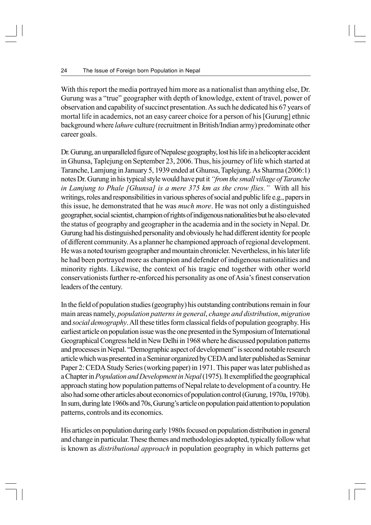With this report the media portrayed him more as a nationalist than anything else, Dr. Gurung was a "true" geographer with depth of knowledge, extent of travel, power of observation and capability of succinct presentation. As such he dedicated his 67 years of mortal life in academics, not an easy career choice for a person of his [Gurung] ethnic background where *lahure* culture (recruitment in British/Indian army) predominate other career goals.

Dr. Gurung, an unparalleled figure of Nepalese geography, lost his life in a helicopter accident in Ghunsa, Taplejung on September 23, 2006. Thus, his journey of life which started at Taranche, Lamjung in January 5, 1939 ended at Ghunsa, Taplejung. As Sharma (2006:1) notes Dr. Gurung in his typical style would have put it *"from the small village of Taranche in Lamjung to Phale [Ghunsa] is a mere 375 km as the crow flies."* With all his writings, roles and responsibilities in various spheres of social and public life e.g., papers in this issue, he demonstrated that he was *much more*. He was not only a distinguished geographer, social scientist, champion of rights of indigenous nationalities but he also elevated the status of geography and geographer in the academia and in the society in Nepal. Dr. Gurung had his distinguished personality and obviously he had different identity for people of different community. As a planner he championed approach of regional development. He was a noted tourism geographer and mountain chronicler. Nevertheless, in his later life he had been portrayed more as champion and defender of indigenous nationalities and minority rights. Likewise, the context of his tragic end together with other world conservationists further re-enforced his personality as one of Asia's finest conservation leaders of the century.

In the field of population studies (geography) his outstanding contributions remain in four main areas namely, *population patterns in general*, *change and distribution*, *migration* and *social demography*. All these titles form classical fields of population geography. His earliest article on population issue was the one presented in the Symposium of International Geographical Congress held in New Delhi in 1968 where he discussed population patterns and processes in Nepal. "Demographic aspect of development" is second notable research article which was presented in a Seminar organized by CEDA and later published as Seminar Paper 2: CEDA Study Series (working paper) in 1971. This paper was later published as a Chapter in *Population and Development in Nepal* (1975). It exemplified the geographical approach stating how population patterns of Nepal relate to development of a country. He also had some other articles about economics of population control (Gurung, 1970a, 1970b). In sum, during late 1960s and 70s, Gurung's article on population paid attention to population patterns, controls and its economics.

His articles on population during early 1980s focused on population distribution in general and change in particular. These themes and methodologies adopted, typically follow what is known as *distributional approach* in population geography in which patterns get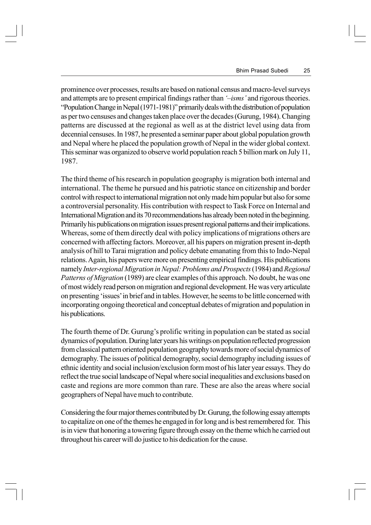prominence over processes, results are based on national census and macro-level surveys and attempts are to present empirical findings rather than *'–isms'* and rigorous theories. "Population Change in Nepal (1971-1981)" primarily deals with the distribution of population as per two censuses and changes taken place over the decades (Gurung, 1984). Changing patterns are discussed at the regional as well as at the district level using data from decennial censuses. In 1987, he presented a seminar paper about global population growth and Nepal where he placed the population growth of Nepal in the wider global context. This seminar was organized to observe world population reach 5 billion mark on July 11, 1987.

The third theme of his research in population geography is migration both internal and international. The theme he pursued and his patriotic stance on citizenship and border control with respect to international migration not only made him popular but also for some a controversial personality. His contribution with respect to Task Force on Internal and International Migration and its 70 recommendations has already been noted in the beginning. Primarily his publications on migration issues present regional patterns and their implications. Whereas, some of them directly deal with policy implications of migrations others are concerned with affecting factors. Moreover, all his papers on migration present in-depth analysis of hill to Tarai migration and policy debate emanating from this to Indo-Nepal relations. Again, his papers were more on presenting empirical findings. His publications namely *Inter-regional Migration in Nepal: Problems and Prospects* (1984) and *Regional Patterns of Migration* (1989) are clear examples of this approach. No doubt, he was one of most widely read person on migration and regional development. He was very articulate on presenting 'issues' in brief and in tables. However, he seems to be little concerned with incorporating ongoing theoretical and conceptual debates of migration and population in his publications.

The fourth theme of Dr. Gurung's prolific writing in population can be stated as social dynamics of population. During later years his writings on population reflected progression from classical pattern oriented population geography towards more of social dynamics of demography. The issues of political demography, social demography including issues of ethnic identity and social inclusion/exclusion form most of his later year essays. They do reflect the true social landscape of Nepal where social inequalities and exclusions based on caste and regions are more common than rare. These are also the areas where social geographers of Nepal have much to contribute.

Considering the four major themes contributed by Dr. Gurung, the following essay attempts to capitalize on one of the themes he engaged in for long and is best remembered for. This is in view that honoring a towering figure through essay on the theme which he carried out throughout his career will do justice to his dedication for the cause.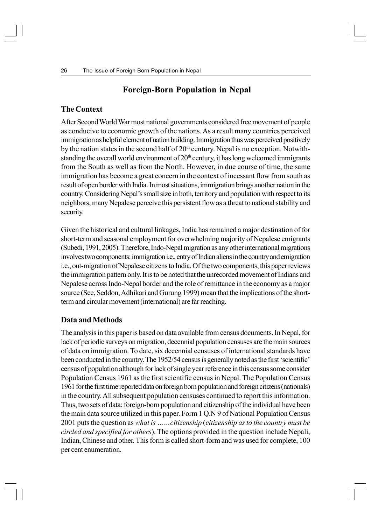## **Foreign-Born Population in Nepal**

#### **The Context**

After Second World War most national governments considered free movement of people as conducive to economic growth of the nations. As a result many countries perceived immigration as helpful element of nation building. Immigration thus was perceived positively by the nation states in the second half of  $20<sup>th</sup>$  century. Nepal is no exception. Notwithstanding the overall world environment of  $20<sup>th</sup>$  century, it has long welcomed immigrants from the South as well as from the North. However, in due course of time, the same immigration has become a great concern in the context of incessant flow from south as result of open border with India. In most situations, immigration brings another nation in the country. Considering Nepal's small size in both, territory and population with respect to its neighbors, many Nepalese perceive this persistent flow as a threat to national stability and security.

Given the historical and cultural linkages, India has remained a major destination of for short-term and seasonal employment for overwhelming majority of Nepalese emigrants (Subedi, 1991, 2005). Therefore, Indo-Nepal migration as any other international migrations involves two components: immigration i.e., entry of Indian aliens in the country and emigration i.e., out-migration of Nepalese citizens to India. Of the two components, this paper reviews the immigration pattern only. It is to be noted that the unrecorded movement of Indians and Nepalese across Indo-Nepal border and the role of remittance in the economy as a major source (See, Seddon, Adhikari and Gurung 1999) mean that the implications of the shortterm and circular movement (international) are far reaching.

#### **Data and Methods**

The analysis in this paper is based on data available from census documents. In Nepal, for lack of periodic surveys on migration, decennial population censuses are the main sources of data on immigration. To date, six decennial censuses of international standards have been conducted in the country. The 1952/54 census is generally noted as the first 'scientific' census of population although for lack of single year reference in this census some consider Population Census 1961 as the first scientific census in Nepal. The Population Census 1961 for the first time reported data on foreign born population and foreign citizens (nationals) in the country. All subsequent population censuses continued to report this information. Thus, two sets of data: foreign-born population and citizenship of the individual have been the main data source utilized in this paper. Form 1 Q.N 9 of National Population Census 2001 puts the question as *what is ……citizenship* (*citizenship as to the country must be circled and specified for others*). The options provided in the question include Nepali, Indian, Chinese and other. This form is called short-form and was used for complete, 100 per cent enumeration.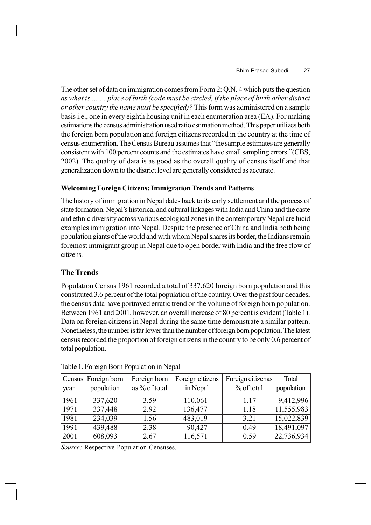The other set of data on immigration comes from Form 2: Q.N. 4 which puts the question *as what is … … place of birth (code must be circled, if the place of birth other district or other country the name must be specified)?* This form was administered on a sample basis i.e., one in every eighth housing unit in each enumeration area (EA). For making estimations the census administration used ratio estimation method. This paper utilizes both the foreign born population and foreign citizens recorded in the country at the time of census enumeration. The Census Bureau assumes that "the sample estimates are generally consistent with 100 percent counts and the estimates have small sampling errors."(CBS, 2002). The quality of data is as good as the overall quality of census itself and that generalization down to the district level are generally considered as accurate.

#### **Welcoming Foreign Citizens: Immigration Trends and Patterns**

The history of immigration in Nepal dates back to its early settlement and the process of state formation. Nepal's historical and cultural linkages with India and China and the caste and ethnic diversity across various ecological zones in the contemporary Nepal are lucid examples immigration into Nepal. Despite the presence of China and India both being population giants of the world and with whom Nepal shares its border, the Indians remain foremost immigrant group in Nepal due to open border with India and the free flow of citizens.

## **The Trends**

Population Census 1961 recorded a total of 337,620 foreign born population and this constituted 3.6 percent of the total population of the country. Over the past four decades, the census data have portrayed erratic trend on the volume of foreign born population. Between 1961 and 2001, however, an overall increase of 80 percent is evident (Table 1). Data on foreign citizens in Nepal during the same time demonstrate a similar pattern. Nonetheless, the number is far lower than the number of foreign born population. The latest census recorded the proportion of foreign citizens in the country to be only 0.6 percent of total population.

| year | Census Foreign born<br>population | Foreign born<br>as % of total | Foreign citizens<br>in Nepal | Foreign citizenas<br>% of total | Total<br>population     |
|------|-----------------------------------|-------------------------------|------------------------------|---------------------------------|-------------------------|
| 1961 | 337,620                           | 3.59                          | 110,061                      | 1.17                            | 9,412,996               |
| 1971 | 337,448                           | 2.92                          | 136,477                      | 1.18                            | 11,555,983              |
| 1981 | 234,039                           | 1.56                          | 483,019                      | 3.21                            | $\overline{15,022,839}$ |
| 1991 | 439,488                           | 2.38                          | 90,427                       | 0.49                            | 18,491,097              |
| 2001 | 608,093                           | 2.67                          | 116,571                      | 0.59                            | $\overline{22,736,934}$ |

Table 1. Foreign Born Population in Nepal

*Source:* Respective Population Censuses.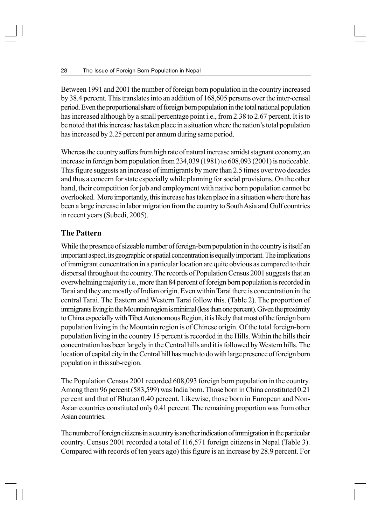Between 1991 and 2001 the number of foreign born population in the country increased by 38.4 percent. This translates into an addition of 168,605 persons over the inter-censal period. Even the proportional share of foreign born population in the total national population has increased although by a small percentage point i.e., from 2.38 to 2.67 percent. It is to be noted that this increase has taken place in a situation where the nation's total population has increased by 2.25 percent per annum during same period.

Whereas the country suffers from high rate of natural increase amidst stagnant economy, an increase in foreign born population from 234,039 (1981) to 608,093 (2001) is noticeable. This figure suggests an increase of immigrants by more than 2.5 times over two decades and thus a concern for state especially while planning for social provisions. On the other hand, their competition for job and employment with native born population cannot be overlooked. More importantly, this increase has taken place in a situation where there has been a large increase in labor migration from the country to South Asia and Gulf countries in recent years (Subedi, 2005).

## **The Pattern**

While the presence of sizeable number of foreign-born population in the country is itself an important aspect, its geographic or spatial concentration is equally important. The implications of immigrant concentration in a particular location are quite obvious as compared to their dispersal throughout the country. The records of Population Census 2001 suggests that an overwhelming majority i.e., more than 84 percent of foreign born population is recorded in Tarai and they are mostly of Indian origin. Even within Tarai there is concentration in the central Tarai. The Eastern and Western Tarai follow this. (Table 2). The proportion of immigrants living in the Mountain region is minimal (less than one percent). Given the proximity to China especially with Tibet Autonomous Region, it is likely that most of the foreign born population living in the Mountain region is of Chinese origin. Of the total foreign-born population living in the country 15 percent is recorded in the Hills. Within the hills their concentration has been largely in the Central hills and it is followed by Western hills. The location of capital city in the Central hill has much to do with large presence of foreign born population in this sub-region.

The Population Census 2001 recorded 608,093 foreign born population in the country. Among them 96 percent (583,599) was India born. Those born in China constituted 0.21 percent and that of Bhutan 0.40 percent. Likewise, those born in European and Non-Asian countries constituted only 0.41 percent. The remaining proportion was from other Asian countries.

The number of foreign citizens in a country is another indication of immigration in the particular country. Census 2001 recorded a total of 116,571 foreign citizens in Nepal (Table 3). Compared with records of ten years ago) this figure is an increase by 28.9 percent. For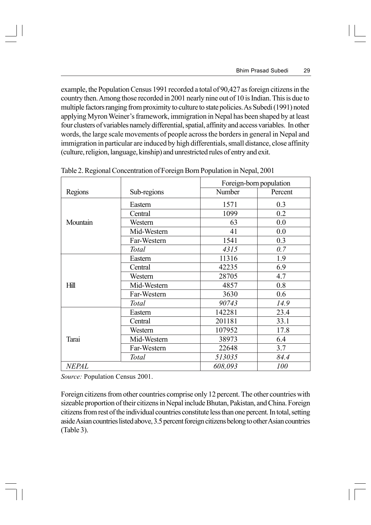example, the Population Census 1991 recorded a total of 90,427 as foreign citizens in the country then. Among those recorded in 2001 nearly nine out of 10 is Indian. This is due to multiple factors ranging from proximity to culture to state policies. As Subedi (1991) noted applying Myron Weiner's framework, immigration in Nepal has been shaped by at least four clusters of variables namely differential, spatial, affinity and access variables. In other words, the large scale movements of people across the borders in general in Nepal and immigration in particular are induced by high differentials, small distance, close affinity (culture, religion, language, kinship) and unrestricted rules of entry and exit.

|                        |             | Foreign-born population |         |
|------------------------|-------------|-------------------------|---------|
| Regions<br>Sub-regions |             | Number                  | Percent |
|                        | Eastern     | 1571                    | 0.3     |
|                        | Central     | 1099                    | 0.2     |
| Mountain               | Western     | 63                      | 0.0     |
|                        | Mid-Western | 41                      | 0.0     |
|                        | Far-Western | 1541                    | 0.3     |
|                        | Total       | 4315                    | 0.7     |
|                        | Eastern     | 11316                   | 1.9     |
|                        | Central     | 42235                   | 6.9     |
|                        | Western     | 28705                   | 4.7     |
| Hill                   | Mid-Western | 4857                    | 0.8     |
|                        | Far-Western | 3630                    | 0.6     |
|                        | Total       | 90743                   | 14.9    |
|                        | Eastern     | 142281                  | 23.4    |
|                        | Central     | 201181                  | 33.1    |
|                        | Western     | 107952                  | 17.8    |
| Tarai                  | Mid-Western | 38973                   | 6.4     |
|                        | Far-Western | 22648                   | 3.7     |
|                        | Total       | 513035                  | 84.4    |
| <b>NEPAL</b>           |             | 608,093                 | 100     |

Table 2. Regional Concentration of Foreign Born Population in Nepal, 2001

*Source:* Population Census 2001.

Foreign citizens from other countries comprise only 12 percent. The other countries with sizeable proportion of their citizens in Nepal include Bhutan, Pakistan, and China. Foreign citizens from rest of the individual countries constitute less than one percent. In total, setting aside Asian countries listed above, 3.5 percent foreign citizens belong to other Asian countries (Table 3).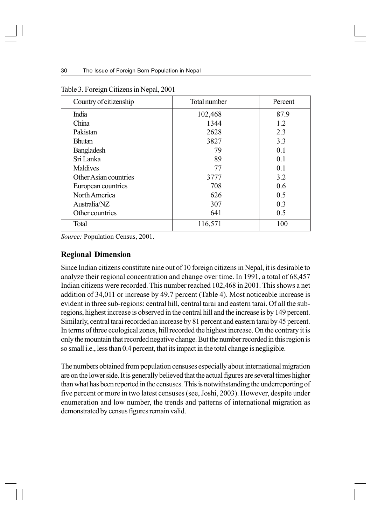| Country of citizenship | Total number | Percent |
|------------------------|--------------|---------|
| India                  | 102,468      | 87.9    |
| China                  | 1344         | 1.2     |
| Pakistan               | 2628         | 2.3     |
| <b>Bhutan</b>          | 3827         | 3.3     |
| <b>Bangladesh</b>      | 79           | 0.1     |
| Sri Lanka              | 89           | 0.1     |
| <b>Maldives</b>        | 77           | 0.1     |
| Other Asian countries  | 3777         | 3.2     |
| European countries     | 708          | 0.6     |
| North America          | 626          | 0.5     |
| Australia/NZ           | 307          | 0.3     |
| Other countries        | 641          | 0.5     |
| Total                  | 116,571      | 100     |

Table 3. Foreign Citizens in Nepal, 2001

*Source:* Population Census, 2001.

### **Regional Dimension**

Since Indian citizens constitute nine out of 10 foreign citizens in Nepal, it is desirable to analyze their regional concentration and change over time. In 1991, a total of 68,457 Indian citizens were recorded. This number reached 102,468 in 2001. This shows a net addition of 34,011 or increase by 49.7 percent (Table 4). Most noticeable increase is evident in three sub-regions: central hill, central tarai and eastern tarai. Of all the subregions, highest increase is observed in the central hill and the increase is by 149 percent. Similarly, central tarai recorded an increase by 81 percent and eastern tarai by 45 percent. In terms of three ecological zones, hill recorded the highest increase. On the contrary it is only the mountain that recorded negative change. But the number recorded in this region is so small i.e., less than 0.4 percent, that its impact in the total change is negligible.

The numbers obtained from population censuses especially about international migration are on the lower side. It is generally believed that the actual figures are several times higher than what has been reported in the censuses. This is notwithstanding the underreporting of five percent or more in two latest censuses (see, Joshi, 2003). However, despite under enumeration and low number, the trends and patterns of international migration as demonstrated by census figures remain valid.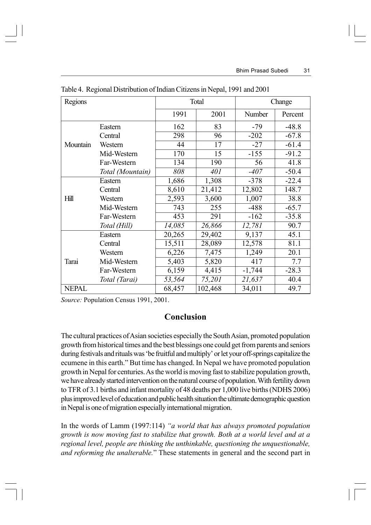| Regions      |                  | Total  |         | Change   |         |
|--------------|------------------|--------|---------|----------|---------|
|              |                  | 1991   | 2001    | Number   | Percent |
|              | Eastern          | 162    | 83      | $-79$    | $-48.8$ |
|              | Central          | 298    | 96      | $-202$   | $-67.8$ |
| Mountain     | Western          | 44     | 17      | $-27$    | $-61.4$ |
|              | Mid-Western      | 170    | 15      | $-155$   | $-91.2$ |
|              | Far-Western      | 134    | 190     | 56       | 41.8    |
|              | Total (Mountain) | 808    | 401     | $-407$   | $-50.4$ |
|              | Eastern          | 1,686  | 1,308   | $-378$   | $-22.4$ |
|              | Central          | 8,610  | 21,412  | 12,802   | 148.7   |
| Hill         | Western          | 2,593  | 3,600   | 1,007    | 38.8    |
|              | Mid-Western      | 743    | 255     | $-488$   | $-65.7$ |
|              | Far-Western      | 453    | 291     | $-162$   | $-35.8$ |
|              | Total (Hill)     | 14,085 | 26,866  | 12,781   | 90.7    |
|              | Eastern          | 20,265 | 29,402  | 9,137    | 45.1    |
|              | Central          | 15,511 | 28,089  | 12,578   | 81.1    |
|              | Western          | 6,226  | 7,475   | 1,249    | 20.1    |
| Tarai        | Mid-Western      | 5,403  | 5,820   | 417      | 7.7     |
|              | Far-Western      | 6,159  | 4,415   | $-1,744$ | $-28.3$ |
|              | Total (Tarai)    | 53,564 | 75,201  | 21,637   | 40.4    |
| <b>NEPAL</b> |                  | 68,457 | 102,468 | 34,011   | 49.7    |

Table 4. Regional Distribution of Indian Citizens in Nepal, 1991 and 2001

*Source:* Population Census 1991, 2001.

## **Conclusion**

The cultural practices of Asian societies especially the South Asian, promoted population growth from historical times and the best blessings one could get from parents and seniors during festivals and rituals was 'be fruitful and multiply' or let your off-springs capitalize the ecumene in this earth." But time has changed. In Nepal we have promoted population growth in Nepal for centuries. As the world is moving fast to stabilize population growth, we have already started intervention on the natural course of population. With fertility down to TFR of 3.1 births and infant mortality of 48 deaths per 1,000 live births (NDHS 2006) plus improved level of education and public health situation the ultimate demographic question in Nepal is one of migration especially international migration.

In the words of Lamm (1997:114) *"a world that has always promoted population growth is now moving fast to stabilize that growth. Both at a world level and at a regional level, people are thinking the unthinkable, questioning the unquestionable, and reforming the unalterable.*" These statements in general and the second part in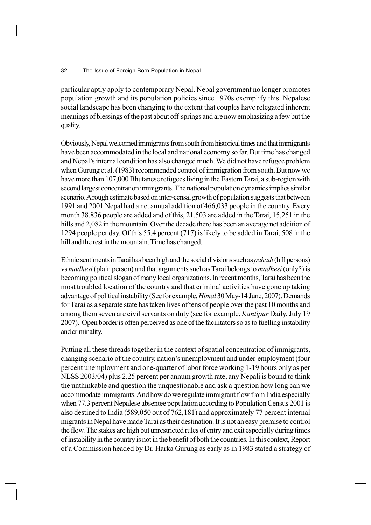particular aptly apply to contemporary Nepal. Nepal government no longer promotes population growth and its population policies since 1970s exemplify this. Nepalese social landscape has been changing to the extent that couples have relegated inherent meanings of blessings of the past about off-springs and are now emphasizing a few but the quality.

Obviously, Nepal welcomed immigrants from south from historical times and that immigrants have been accommodated in the local and national economy so far. But time has changed and Nepal's internal condition has also changed much. We did not have refugee problem when Gurung et al. (1983) recommended control of immigration from south. But now we have more than 107,000 Bhutanese refugees living in the Eastern Tarai, a sub-region with second largest concentration immigrants. The national population dynamics implies similar scenario. A rough estimate based on inter-censal growth of population suggests that between 1991 and 2001 Nepal had a net annual addition of 466,033 people in the country. Every month 38,836 people are added and of this, 21,503 are added in the Tarai, 15,251 in the hills and 2,082 in the mountain. Over the decade there has been an average net addition of 1294 people per day. Of this 55.4 percent (717) is likely to be added in Tarai, 508 in the hill and the rest in the mountain. Time has changed.

Ethnic sentiments in Tarai has been high and the social divisions such as *pahadi* (hill persons) vs *madhesi* (plain person) and that arguments such as Tarai belongs to *madhesi* (only?) is becoming political slogan of many local organizations. In recent months, Tarai has been the most troubled location of the country and that criminal activities have gone up taking advantage of political instability (See for example, *Himal* 30 May-14 June, 2007). Demands for Tarai as a separate state has taken lives of tens of people over the past 10 months and among them seven are civil servants on duty (see for example, *Kantipur* Daily, July 19 2007). Open border is often perceived as one of the facilitators so as to fuelling instability and criminality.

Putting all these threads together in the context of spatial concentration of immigrants, changing scenario of the country, nation's unemployment and under-employment (four percent unemployment and one-quarter of labor force working 1-19 hours only as per NLSS 2003/04) plus 2.25 percent per annum growth rate, any Nepali is bound to think the unthinkable and question the unquestionable and ask a question how long can we accommodate immigrants. And how do we regulate immigrant flow from India especially when 77.3 percent Nepalese absentee population according to Population Census 2001 is also destined to India (589,050 out of 762,181) and approximately 77 percent internal migrants in Nepal have made Tarai as their destination. It is not an easy premise to control the flow. The stakes are high but unrestricted rules of entry and exit especially during times of instability in the country is not in the benefit of both the countries. In this context, Report of a Commission headed by Dr. Harka Gurung as early as in 1983 stated a strategy of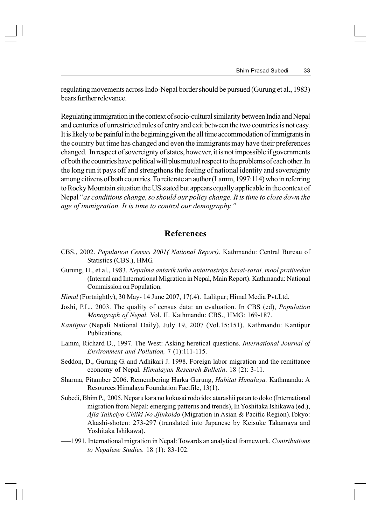regulating movements across Indo-Nepal border should be pursued (Gurung et al., 1983) bears further relevance.

Regulating immigration in the context of socio-cultural similarity between India and Nepal and centuries of unrestricted rules of entry and exit between the two countries is not easy. It is likely to be painful in the beginning given the all time accommodation of immigrants in the country but time has changed and even the immigrants may have their preferences changed. In respect of sovereignty of states, however, it is not impossible if governments of both the countries have political will plus mutual respect to the problems of each other. In the long run it pays off and strengthens the feeling of national identity and sovereignty among citizens of both countries. To reiterate an author (Lamm, 1997:114) who in referring to Rocky Mountain situation the US stated but appears equally applicable in the context of Nepal "*as conditions change, so should our policy change. It is time to close down the age of immigration. It is time to control our demography."*

### **References**

- CBS., 2002. *Population Census 2001( National Report)*. Kathmandu: Central Bureau of Statistics (CBS.), HMG.
- Gurung, H., et al., 1983. *Nepalma antarik tatha antatrastriys basai-sarai, mool prativedan* (Internal and International Migration in Nepal, Main Report). Kathmandu: National Commission on Population.
- *Himal* (Fortnightly), 30 May- 14 June 2007, 17(.4). Lalitpur; Himal Media Pvt.Ltd.
- Joshi, P.L., 2003. The quality of census data: an evaluation. In CBS (ed), *Population Monograph of Nepal.* Vol. II. Kathmandu: CBS., HMG: 169-187.
- *Kantipur* (Nepali National Daily), July 19, 2007 (Vol.15:151). Kathmandu: Kantipur Publications.
- Lamm, Richard D., 1997. The West: Asking heretical questions. *International Journal of Environment and Pollution,* 7 (1):111-115.
- Seddon, D., Gurung G. and Adhikari J. 1998. Foreign labor migration and the remittance economy of Nepal*. Himalayan Research Bulletin*. 18 (2): 3-11.
- Sharma, Pitamber 2006. Remembering Harka Gurung, *Habitat Himalaya.* Kathmandu: A Resources Himalaya Foundation Factfile, 13(1).
- Subedi, Bhim P., 2005. Neparu kara no kokusai rodo ido: atarashii patan to doko (International migration from Nepal: emerging patterns and trends), In Yoshitaka Ishikawa (ed.), *Ajia Taiheiyo Chiiki No Jjinkoido* (Migration in Asian & Pacific Region).Tokyo: Akashi-shoten: 273-297 (translated into Japanese by Keisuke Takamaya and Yoshitaka Ishikawa).
- —–1991. International migration in Nepal: Towards an analytical framework. *Contributions to Nepalese Studies.* 18 (1): 83-102.